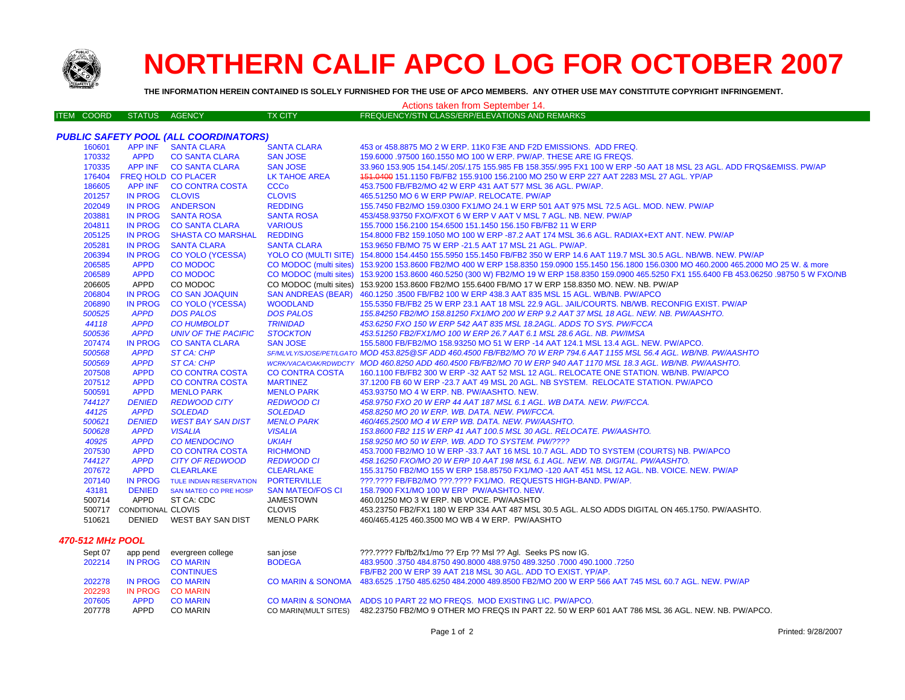

## **NORTHERN CALIF APCO LOG FOR OCTOBER 2007**

**THE INFORMATION HEREIN CONTAINED IS SOLELY FURNISHED FOR THE USE OF APCO MEMBERS. ANY OTHER USE MAY CONSTITUTE COPYRIGHT INFRINGEMENT.**

| IO JULELI FUNNIJMED FUN THE UJE UF AFGU MEMDENJ. ANTI UTHEN UJE MAT GUNJTITUTE GUFTNIJMTI INFNINGEMENT.<br>Actions taken from September 14. |                           |                                              |                         |                                                                                                                                                  |  |  |  |
|---------------------------------------------------------------------------------------------------------------------------------------------|---------------------------|----------------------------------------------|-------------------------|--------------------------------------------------------------------------------------------------------------------------------------------------|--|--|--|
| ITEM COORD                                                                                                                                  | STATUS AGENCY             |                                              | <b>TX CITY</b>          | FREQUENCY/STN CLASS/ERP/ELEVATIONS AND REMARKS                                                                                                   |  |  |  |
|                                                                                                                                             |                           |                                              |                         |                                                                                                                                                  |  |  |  |
|                                                                                                                                             |                           | <b>PUBLIC SAFETY POOL (ALL COORDINATORS)</b> |                         |                                                                                                                                                  |  |  |  |
| 160601                                                                                                                                      |                           | APP INF SANTA CLARA                          | <b>SANTA CLARA</b>      | 453 or 458.8875 MO 2 W ERP. 11K0 F3E AND F2D EMISSIONS. ADD FREQ.                                                                                |  |  |  |
| 170332                                                                                                                                      | <b>APPD</b>               | <b>CO SANTA CLARA</b>                        | <b>SAN JOSE</b>         | 159.6000 .97500 160.1550 MO 100 W ERP. PW/AP. THESE ARE IG FREQS.                                                                                |  |  |  |
| 170335                                                                                                                                      |                           | APP INF CO SANTA CLARA                       | <b>SAN JOSE</b>         | 33.960 153.905 154.145/.205/.175 155.985 FB 158.355/.995 FX1 100 W ERP -50 AAT 18 MSL 23 AGL. ADD FRQS&EMISS, PW/AP                              |  |  |  |
| 176404                                                                                                                                      |                           | <b>FREQ HOLD CO PLACER</b>                   | <b>LK TAHOE AREA</b>    | 151.0400 151.1150 FB/FB2 155.9100 156.2100 MO 250 W ERP 227 AAT 2283 MSL 27 AGL. YP/AP                                                           |  |  |  |
| 186605                                                                                                                                      |                           | APP INF CO CONTRA COSTA                      | <b>CCCo</b>             | 453.7500 FB/FB2/MO 42 W ERP 431 AAT 577 MSL 36 AGL. PW/AP.                                                                                       |  |  |  |
| 201257                                                                                                                                      | IN PROG CLOVIS            |                                              | <b>CLOVIS</b>           | 465.51250 MO 6 W ERP PW/AP. RELOCATE. PW/AP                                                                                                      |  |  |  |
| 202049                                                                                                                                      |                           | IN PROG ANDERSON                             | <b>REDDING</b>          | 155.7450 FB2/MO 159.0300 FX1/MO 24.1 W ERP 501 AAT 975 MSL 72.5 AGL. MOD. NEW. PW/AP                                                             |  |  |  |
| 203881                                                                                                                                      |                           | IN PROG SANTA ROSA                           | <b>SANTA ROSA</b>       | 453/458.93750 FXO/FXOT 6 W ERP V AAT V MSL 7 AGL. NB. NEW. PW/AP                                                                                 |  |  |  |
| 204811                                                                                                                                      |                           | IN PROG CO SANTA CLARA                       | <b>VARIOUS</b>          | 155.7000 156.2100 154.6500 151.1450 156.150 FB/FB2 11 W ERP                                                                                      |  |  |  |
| 205125                                                                                                                                      |                           | IN PROG SHASTA CO MARSHAL                    | <b>REDDING</b>          | 154.8000 FB2 159.1050 MO 100 W ERP -87.2 AAT 174 MSL 36.6 AGL. RADIAX+EXT ANT. NEW. PW/AP                                                        |  |  |  |
| 205281                                                                                                                                      | <b>IN PROG</b>            | <b>SANTA CLARA</b>                           | <b>SANTA CLARA</b>      | 153.9650 FB/MO 75 W ERP -21.5 AAT 17 MSL 21 AGL. PW/AP.                                                                                          |  |  |  |
| 206394                                                                                                                                      | <b>IN PROG</b>            | <b>CO YOLO (YCESSA)</b>                      |                         | YOLO CO (MULTI SITE) 154.8000 154.4450 155.5950 155.1450 FB/FB2 350 W ERP 14.6 AAT 119.7 MSL 30.5 AGL. NB/WB. NEW. PW/AP                         |  |  |  |
| 206585                                                                                                                                      | <b>APPD</b>               | <b>CO MODOC</b>                              |                         | CO MODOC (multi sites) 153.9200 153.8600 FB2/MO 400 W ERP 158.8350 159.0900 155.1450 156.1800 156.0300 MO 460.2000 465.2000 MO 25 W. & more      |  |  |  |
| 206589                                                                                                                                      | <b>APPD</b>               | <b>CO MODOC</b>                              |                         | CO MODOC (multi sites) 153.9200 153.8600 460.5250 (300 W) FB2/MO 19 W ERP 158.8350 159.0900 465.5250 FX1 155.6400 FB 453.06250 .98750 5 W FXO/NB |  |  |  |
| 206605                                                                                                                                      | APPD                      | CO MODOC                                     |                         | CO MODOC (multi sites) 153.9200 153.8600 FB2/MO 155.6400 FB/MO 17 W ERP 158.8350 MO. NEW. NB. PW/AP                                              |  |  |  |
| 206804                                                                                                                                      | IN PROG                   | <b>CO SAN JOAQUIN</b>                        |                         | SAN ANDREAS (BEAR) 460.1250 .3500 FB/FB2 100 W ERP 438.3 AAT 835 MSL 15 AGL. WB/NB. PW/APCO                                                      |  |  |  |
| 206890                                                                                                                                      | <b>IN PROG</b>            | <b>CO YOLO (YCESSA)</b>                      | <b>WOODLAND</b>         | 155.5350 FB/FB2 25 W ERP 23.1 AAT 18 MSL 22.9 AGL. JAIL/COURTS. NB/WB. RECONFIG EXIST. PW/AP                                                     |  |  |  |
| 500525                                                                                                                                      | <b>APPD</b>               | <b>DOS PALOS</b>                             | <b>DOS PALOS</b>        | 155.84250 FB2/MO 158.81250 FX1/MO 200 W ERP 9.2 AAT 37 MSL 18 AGL. NEW. NB. PW/AASHTO.                                                           |  |  |  |
| 44118                                                                                                                                       | <b>APPD</b>               | <b>CO HUMBOLDT</b>                           | <b>TRINIDAD</b>         | 453.6250 FXO 150 W ERP 542 AAT 835 MSL 18.2AGL. ADDS TO SYS. PW/FCCA                                                                             |  |  |  |
| 500536                                                                                                                                      | <b>APPD</b>               | UNIV OF THE PACIFIC                          | <b>STOCKTON</b>         | 453.51250 FB2/FX1/MO 100 W ERP 26.7 AAT 6.1 MSL 28.6 AGL. NB. PW/IMSA                                                                            |  |  |  |
| 207474                                                                                                                                      | <b>IN PROG</b>            | <b>CO SANTA CLARA</b>                        | <b>SAN JOSE</b>         | 155,5800 FB/FB2/MO 158,93250 MO 51 W ERP -14 AAT 124.1 MSL 13.4 AGL, NEW, PW/APCO,                                                               |  |  |  |
| 500568                                                                                                                                      | <b>APPD</b>               | <b>ST CA: CHP</b>                            |                         | SF/MLVLY/SJOSE/PET/LGATO MOD 453.825@SF ADD 460.4500 FB/FB2/MO 70 W ERP 794.6 AAT 1155 MSL 56.4 AGL. WB/NB. PW/AASHTO                            |  |  |  |
| 500569                                                                                                                                      | <b>APPD</b>               | ST CA: CHP                                   |                         | WCRK/VACA/OAK/RDWDCTY MOD 460.8250 ADD 460.4500 FB/FB2/MO 70 W ERP 940 AAT 1170 MSL 18.3 AGL. WB/NB, PW/AASHTO,                                  |  |  |  |
| 207508                                                                                                                                      | <b>APPD</b>               | <b>CO CONTRA COSTA</b>                       | <b>CO CONTRA COSTA</b>  | 160.1100 FB/FB2 300 W ERP -32 AAT 52 MSL 12 AGL. RELOCATE ONE STATION. WB/NB. PW/APCO                                                            |  |  |  |
| 207512                                                                                                                                      | <b>APPD</b>               | <b>CO CONTRA COSTA</b>                       | <b>MARTINEZ</b>         | 37.1200 FB 60 W ERP -23.7 AAT 49 MSL 20 AGL. NB SYSTEM. RELOCATE STATION. PW/APCO                                                                |  |  |  |
| 500591                                                                                                                                      | <b>APPD</b>               | <b>MENLO PARK</b>                            | <b>MENLO PARK</b>       | 453.93750 MO 4 W ERP. NB. PW/AASHTO. NEW.                                                                                                        |  |  |  |
| 744127                                                                                                                                      | <b>DENIED</b>             | <b>REDWOOD CITY</b>                          | <b>REDWOOD CI</b>       | 458.9750 FXO 20 W ERP 44 AAT 187 MSL 6.1 AGL. WB DATA. NEW. PW/FCCA.                                                                             |  |  |  |
| 44125                                                                                                                                       | <b>APPD</b>               | <b>SOLEDAD</b>                               | <b>SOLEDAD</b>          | 458.8250 MO 20 W ERP. WB. DATA. NEW. PW/FCCA.                                                                                                    |  |  |  |
| 500621                                                                                                                                      | <b>DENIED</b>             | <b>WEST BAY SAN DIST</b>                     | <b>MENLO PARK</b>       | 460/465.2500 MO 4 W ERP WB. DATA. NEW. PW/AASHTO.                                                                                                |  |  |  |
| 500628                                                                                                                                      | <b>APPD</b>               | <b>VISALIA</b>                               | <b>VISALIA</b>          | 153.8600 FB2 115 W ERP 41 AAT 100.5 MSL 30 AGL. RELOCATE. PW/AASHTO.                                                                             |  |  |  |
| 40925                                                                                                                                       | <b>APPD</b>               | <b>CO MENDOCINO</b>                          | <b>UKIAH</b>            | 158.9250 MO 50 W ERP. WB. ADD TO SYSTEM. PW/????                                                                                                 |  |  |  |
| 207530                                                                                                                                      | <b>APPD</b>               | <b>CO CONTRA COSTA</b>                       | <b>RICHMOND</b>         | 453.7000 FB2/MO 10 W ERP -33.7 AAT 16 MSL 10.7 AGL. ADD TO SYSTEM (COURTS) NB. PW/APCO                                                           |  |  |  |
| 744127                                                                                                                                      | <b>APPD</b>               | <b>CITY OF REDWOOD</b>                       | <b>REDWOOD CI</b>       | 458.16250 FXO/MO 20 W ERP 10 AAT 198 MSL 6.1 AGL. NEW. NB. DIGITAL. PW/AASHTO.                                                                   |  |  |  |
| 207672                                                                                                                                      | <b>APPD</b>               | <b>CLEARLAKE</b>                             | <b>CLEARLAKE</b>        | 155.31750 FB2/MO 155 W ERP 158.85750 FX1/MO -120 AAT 451 MSL 12 AGL. NB. VOICE. NEW. PW/AP                                                       |  |  |  |
| 207140                                                                                                                                      | IN PROG                   | TULE INDIAN RESERVATION PORTERVILLE          |                         | ???.???? FB/FB2/MO ???.???? FX1/MO. REQUESTS HIGH-BAND. PW/AP.                                                                                   |  |  |  |
| 43181                                                                                                                                       | <b>DENIED</b>             | <b>SAN MATEO CO PRE HOSP</b>                 | <b>SAN MATEO/FOS CI</b> | 158.7900 FX1/MO 100 W ERP PW/AASHTO. NEW.                                                                                                        |  |  |  |
| 500714                                                                                                                                      | APPD                      | ST CA: CDC                                   | <b>JAMESTOWN</b>        | 460.01250 MO 3 W ERP. NB VOICE. PW/AASHTO                                                                                                        |  |  |  |
|                                                                                                                                             | 500717 CONDITIONAL CLOVIS |                                              | <b>CLOVIS</b>           | 453.23750 FB2/FX1 180 W ERP 334 AAT 487 MSL 30.5 AGL. ALSO ADDS DIGITAL ON 465.1750. PW/AASHTO.                                                  |  |  |  |
| 510621                                                                                                                                      | DENIED                    | WEST BAY SAN DIST                            | <b>MENLO PARK</b>       | 460/465.4125 460.3500 MO WB 4 W ERP. PW/AASHTO                                                                                                   |  |  |  |
|                                                                                                                                             |                           |                                              |                         |                                                                                                                                                  |  |  |  |

## *470-512 MHz POOL*

| Sept 07 | app pend    | evergreen college | san jose             | ???.???? Fb/fb2/fx1/mo ?? Erp ?? Msl ?? Agl. Seeks PS now IG.                                                     |
|---------|-------------|-------------------|----------------------|-------------------------------------------------------------------------------------------------------------------|
| 202214  |             | IN PROG CO MARIN  | <b>BODEGA</b>        | 483.9500 .3750 484.8750 490.8000 488.9750 489.3250 .7000 490.1000 .7250                                           |
|         |             | <b>CONTINUES</b>  |                      | FB/FB2 200 W ERP 39 AAT 218 MSL 30 AGL, ADD TO EXIST, YP/AP.                                                      |
| 202278  |             | IN PROG CO MARIN  |                      | CO MARIN & SONOMA 483,6525 .1750 485,6250 484,2000 489,8500 FB2/MO 200 W ERP 566 AAT 745 MSL 60.7 AGL. NEW, PW/AP |
| 202293  |             | IN PROG COMARIN   |                      |                                                                                                                   |
| 207605  | <b>APPD</b> | <b>CO MARIN</b>   |                      | CO MARIN & SONOMA ADDS 10 PART 22 MO FREQS. MOD EXISTING LIC. PW/APCO.                                            |
| 207778  | <b>APPD</b> | CO MARIN          | CO MARIN(MULT SITES) | 482.23750 FB2/MO 9 OTHER MO FREQS IN PART 22. 50 W ERP 601 AAT 786 MSL 36 AGL. NEW. NB. PW/APCO.                  |